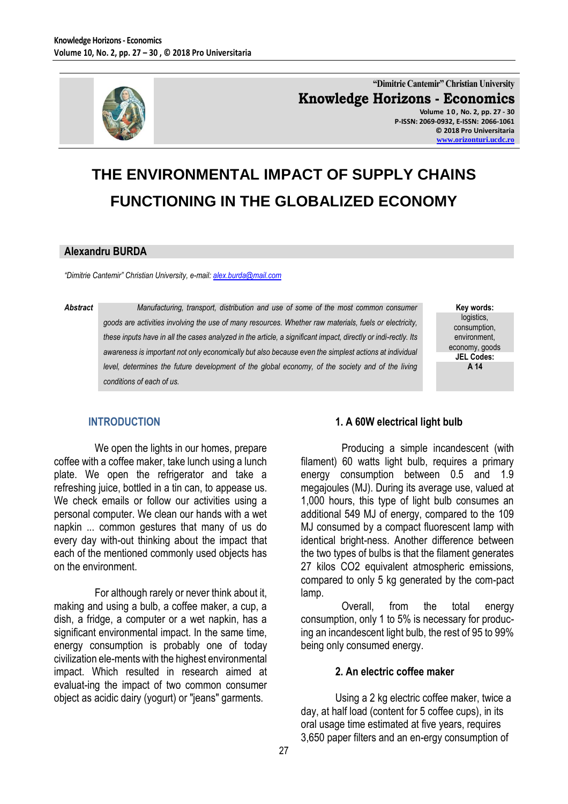

**"Dimitrie Cantemir" Christian University Knowledge Horizons - Economics Volume 1 0 , No. 2, pp. 27 - 30 P-ISSN: 2069-0932, E-ISSN: 2066-1061 © 2018 Pro Universitaria [www.orizonturi.ucdc.ro](http://www.orizonturi.ucdc.ro/)**

# **THE ENVIRONMENTAL IMPACT OF SUPPLY CHAINS FUNCTIONING IN THE GLOBALIZED ECONOMY**

#### **Alexandru BURDA**

*"Dimitrie Cantemir" Christian University, e-mail[: alex.burda@mail.com](mailto:alex.burda@mail.com)*

*Abstract Manufacturing, transport, distribution and use of some of the most common consumer goods are activities involving the use of many resources. Whether raw materials, fuels or electricity, these inputs have in all the cases analyzed in the article, a significant impact, directly or indi-rectly. Its awareness is important not only economically but also because even the simplest actions at individual level, determines the future development of the global economy, of the society and of the living conditions of each of us.*

**Key words:** logistics, consumption, environment, economy, goods **JEL Codes: A 14**

#### **INTRODUCTION**

We open the lights in our homes, prepare coffee with a coffee maker, take lunch using a lunch plate. We open the refrigerator and take a refreshing juice, bottled in a tin can, to appease us. We check emails or follow our activities using a personal computer. We clean our hands with a wet napkin ... common gestures that many of us do every day with-out thinking about the impact that each of the mentioned commonly used objects has on the environment.

For although rarely or never think about it, making and using a bulb, a coffee maker, a cup, a dish, a fridge, a computer or a wet napkin, has a significant environmental impact. In the same time, energy consumption is probably one of today civilization ele-ments with the highest environmental impact. Which resulted in research aimed at evaluat-ing the impact of two common consumer object as acidic dairy (yogurt) or "jeans" garments.

#### **1. A 60W electrical light bulb**

Producing a simple incandescent (with filament) 60 watts light bulb, requires a primary energy consumption between 0.5 and 1.9 megajoules (MJ). During its average use, valued at 1,000 hours, this type of light bulb consumes an additional 549 MJ of energy, compared to the 109 MJ consumed by a compact fluorescent lamp with identical bright-ness. Another difference between the two types of bulbs is that the filament generates 27 kilos CO2 equivalent atmospheric emissions, compared to only 5 kg generated by the com-pact lamp.

Overall, from the total energy consumption, only 1 to 5% is necessary for producing an incandescent light bulb, the rest of 95 to 99% being only consumed energy.

#### **2. An electric coffee maker**

Using a 2 kg electric coffee maker, twice a day, at half load (content for 5 coffee cups), in its oral usage time estimated at five years, requires 3,650 paper filters and an en-ergy consumption of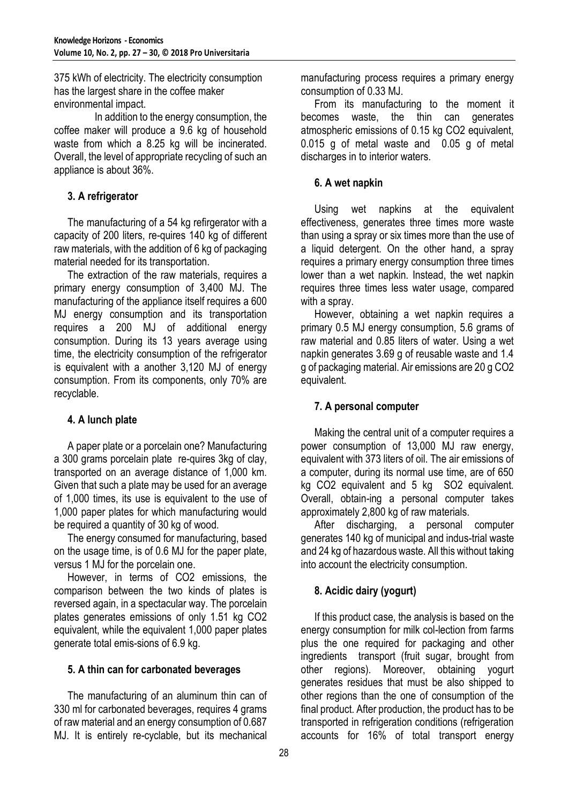375 kWh of electricity. The electricity consumption has the largest share in the coffee maker environmental impact.

In addition to the energy consumption, the coffee maker will produce a 9.6 kg of household waste from which a 8.25 kg will be incinerated. Overall, the level of appropriate recycling of such an appliance is about 36%.

# **3. A refrigerator**

The manufacturing of a 54 kg refirgerator with a capacity of 200 liters, re-quires 140 kg of different raw materials, with the addition of 6 kg of packaging material needed for its transportation.

The extraction of the raw materials, requires a primary energy consumption of 3,400 MJ. The manufacturing of the appliance itself requires a 600 MJ energy consumption and its transportation requires a 200 MJ of additional energy consumption. During its 13 years average using time, the electricity consumption of the refrigerator is equivalent with a another 3,120 MJ of energy consumption. From its components, only 70% are recyclable.

# **4. A lunch plate**

A paper plate or a porcelain one? Manufacturing a 300 grams porcelain plate re-quires 3kg of clay, transported on an average distance of 1,000 km. Given that such a plate may be used for an average of 1,000 times, its use is equivalent to the use of 1,000 paper plates for which manufacturing would be required a quantity of 30 kg of wood.

The energy consumed for manufacturing, based on the usage time, is of 0.6 MJ for the paper plate, versus 1 MJ for the porcelain one.

However, in terms of CO2 emissions, the comparison between the two kinds of plates is reversed again, in a spectacular way. The porcelain plates generates emissions of only 1.51 kg CO2 equivalent, while the equivalent 1,000 paper plates generate total emis-sions of 6.9 kg.

#### **5. A thin can for carbonated beverages**

The manufacturing of an aluminum thin can of 330 ml for carbonated beverages, requires 4 grams of raw material and an energy consumption of 0.687 MJ. It is entirely re-cyclable, but its mechanical manufacturing process requires a primary energy consumption of 0.33 MJ.

From its manufacturing to the moment it becomes waste, the thin can generates atmospheric emissions of 0.15 kg CO2 equivalent, 0.015 g of metal waste and 0.05 g of metal discharges in to interior waters.

### **6. A wet napkin**

Using wet napkins at the equivalent effectiveness, generates three times more waste than using a spray or six times more than the use of a liquid detergent. On the other hand, a spray requires a primary energy consumption three times lower than a wet napkin. Instead, the wet napkin requires three times less water usage, compared with a spray.

However, obtaining a wet napkin requires a primary 0.5 MJ energy consumption, 5.6 grams of raw material and 0.85 liters of water. Using a wet napkin generates 3.69 g of reusable waste and 1.4 g of packaging material. Air emissions are 20 g CO2 equivalent.

# **7. A personal computer**

Making the central unit of a computer requires a power consumption of 13,000 MJ raw energy, equivalent with 373 liters of oil. The air emissions of a computer, during its normal use time, are of 650 kg CO2 equivalent and 5 kg SO2 equivalent. Overall, obtain-ing a personal computer takes approximately 2,800 kg of raw materials.

After discharging, a personal computer generates 140 kg of municipal and indus-trial waste and 24 kg of hazardous waste. All this without taking into account the electricity consumption.

# **8. Acidic dairy (yogurt)**

If this product case, the analysis is based on the energy consumption for milk col-lection from farms plus the one required for packaging and other ingredients transport (fruit sugar, brought from other regions). Moreover, obtaining yogurt generates residues that must be also shipped to other regions than the one of consumption of the final product. After production, the product has to be transported in refrigeration conditions (refrigeration accounts for 16% of total transport energy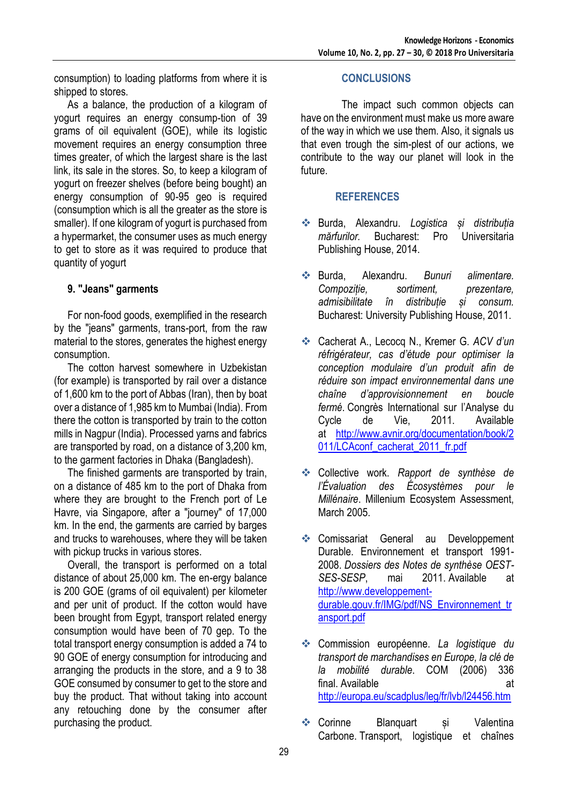consumption) to loading platforms from where it is shipped to stores.

As a balance, the production of a kilogram of yogurt requires an energy consump-tion of 39 grams of oil equivalent (GOE), while its logistic movement requires an energy consumption three times greater, of which the largest share is the last link, its sale in the stores. So, to keep a kilogram of yogurt on freezer shelves (before being bought) an energy consumption of 90-95 geo is required (consumption which is all the greater as the store is smaller). If one kilogram of yogurt is purchased from a hypermarket, the consumer uses as much energy to get to store as it was required to produce that quantity of yogurt

#### **9. "Jeans" garments**

For non-food goods, exemplified in the research by the "jeans" garments, trans-port, from the raw material to the stores, generates the highest energy consumption.

The cotton harvest somewhere in Uzbekistan (for example) is transported by rail over a distance of 1,600 km to the port of Abbas (Iran), then by boat over a distance of 1,985 km to Mumbai (India). From there the cotton is transported by train to the cotton mills in Nagpur (India). Processed yarns and fabrics are transported by road, on a distance of 3,200 km, to the garment factories in Dhaka (Bangladesh).

The finished garments are transported by train, on a distance of 485 km to the port of Dhaka from where they are brought to the French port of Le Havre, via Singapore, after a "journey" of 17,000 km. In the end, the garments are carried by barges and trucks to warehouses, where they will be taken with pickup trucks in various stores.

Overall, the transport is performed on a total distance of about 25,000 km. The en-ergy balance is 200 GOE (grams of oil equivalent) per kilometer and per unit of product. If the cotton would have been brought from Egypt, transport related energy consumption would have been of 70 gep. To the total transport energy consumption is added a 74 to 90 GOE of energy consumption for introducing and arranging the products in the store, and a 9 to 38 GOE consumed by consumer to get to the store and buy the product. That without taking into account any retouching done by the consumer after purchasing the product.

#### **CONCLUSIONS**

The impact such common objects can have on the environment must make us more aware of the way in which we use them. Also, it signals us that even trough the sim-plest of our actions, we contribute to the way our planet will look in the future.

#### **REFERENCES**

- Burda, Alexandru. *Logistica și distribuția mărfurilor.* Bucharest: Pro Universitaria Publishing House, 2014.
- Burda, Alexandru. *Bunuri alimentare. Compozitie,* sortiment, prezentare, *admisibilitate în distribuție și consum.* Bucharest: University Publishing House, 2011.
- Cacherat A., Lecocq N., Kremer G. *ACV d'un réfrigérateur, cas d'étude pour optimiser la conception modulaire d'un produit afin de réduire son impact environnemental dans une chaîne d'approvisionnement en boucle fermé*. Congrès International sur l'Analyse du Cycle de Vie, 2011. Available at [http://www.avnir.org/documentation/book/2](http://www.avnir.org/documentation/book/2011/LCAconf_cacherat_2011_fr.pdf) [011/LCAconf\\_cacherat\\_2011\\_fr.pdf](http://www.avnir.org/documentation/book/2011/LCAconf_cacherat_2011_fr.pdf)
- Collective work. *Rapport de synthèse de l'Évaluation des Écosystèmes pour le Millénaire*. Millenium Ecosystem Assessment, March 2005.
- ◆ Comissariat General au Developpement Durable. Environnement et transport 1991- 2008. *Dossiers des Notes de synthèse OEST-SES-SESP*, mai 2011. Available at [http://www.developpement](http://www.developpement-durable.gouv.fr/IMG/pdf/NS_Environnement_transport.pdf)[durable.gouv.fr/IMG/pdf/NS\\_Environnement\\_tr](http://www.developpement-durable.gouv.fr/IMG/pdf/NS_Environnement_transport.pdf) [ansport.pdf](http://www.developpement-durable.gouv.fr/IMG/pdf/NS_Environnement_transport.pdf)
- Commission européenne. *La logistique du transport de marchandises en Europe, la clé de la mobilité durable*. COM (2006) 336 final. Available at the state at the state at the state at the state at the state at the state at the state at  $\alpha$ <http://europa.eu/scadplus/leg/fr/lvb/l24456.htm>
- Corinne Blanquart și Valentina Carbone. Transport, logistique et chaînes